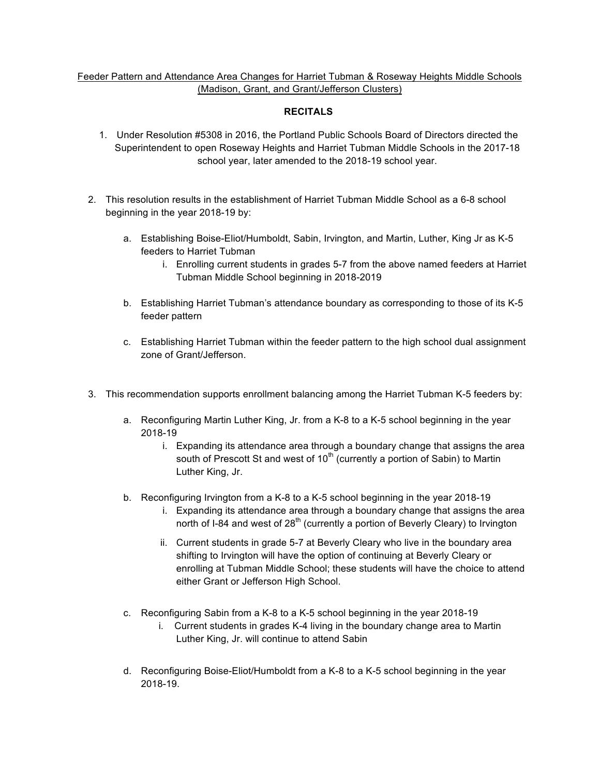## Feeder Pattern and Attendance Area Changes for Harriet Tubman & Roseway Heights Middle Schools (Madison, Grant, and Grant/Jefferson Clusters)

## **RECITALS**

- 1. Under Resolution #5308 in 2016, the Portland Public Schools Board of Directors directed the Superintendent to open Roseway Heights and Harriet Tubman Middle Schools in the 2017-18 school year, later amended to the 2018-19 school year.
- 2. This resolution results in the establishment of Harriet Tubman Middle School as a 6-8 school beginning in the year 2018-19 by:
	- a. Establishing Boise-Eliot/Humboldt, Sabin, Irvington, and Martin, Luther, King Jr as K-5 feeders to Harriet Tubman
		- i. Enrolling current students in grades 5-7 from the above named feeders at Harriet Tubman Middle School beginning in 2018-2019
	- b. Establishing Harriet Tubman's attendance boundary as corresponding to those of its K-5 feeder pattern
	- c. Establishing Harriet Tubman within the feeder pattern to the high school dual assignment zone of Grant/Jefferson.
- 3. This recommendation supports enrollment balancing among the Harriet Tubman K-5 feeders by:
	- a. Reconfiguring Martin Luther King, Jr. from a K-8 to a K-5 school beginning in the year 2018-19
		- i. Expanding its attendance area through a boundary change that assigns the area south of Prescott St and west of  $10<sup>th</sup>$  (currently a portion of Sabin) to Martin Luther King, Jr.
	- b. Reconfiguring Irvington from a K-8 to a K-5 school beginning in the year 2018-19
		- i. Expanding its attendance area through a boundary change that assigns the area north of I-84 and west of  $28<sup>th</sup>$  (currently a portion of Beverly Cleary) to Irvington
		- ii. Current students in grade 5-7 at Beverly Cleary who live in the boundary area shifting to Irvington will have the option of continuing at Beverly Cleary or enrolling at Tubman Middle School; these students will have the choice to attend either Grant or Jefferson High School.
	- c. Reconfiguring Sabin from a K-8 to a K-5 school beginning in the year 2018-19
		- i. Current students in grades K-4 living in the boundary change area to Martin Luther King, Jr. will continue to attend Sabin
	- d. Reconfiguring Boise-Eliot/Humboldt from a K-8 to a K-5 school beginning in the year 2018-19.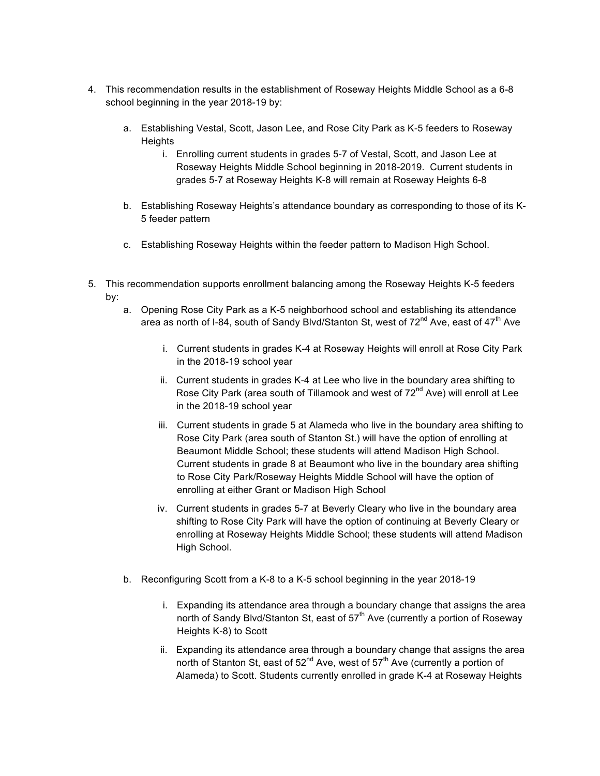- 4. This recommendation results in the establishment of Roseway Heights Middle School as a 6-8 school beginning in the year 2018-19 by:
	- a. Establishing Vestal, Scott, Jason Lee, and Rose City Park as K-5 feeders to Roseway **Heights** 
		- i. Enrolling current students in grades 5-7 of Vestal, Scott, and Jason Lee at Roseway Heights Middle School beginning in 2018-2019. Current students in grades 5-7 at Roseway Heights K-8 will remain at Roseway Heights 6-8
	- b. Establishing Roseway Heights's attendance boundary as corresponding to those of its K-5 feeder pattern
	- c. Establishing Roseway Heights within the feeder pattern to Madison High School.
- 5. This recommendation supports enrollment balancing among the Roseway Heights K-5 feeders by:
	- a. Opening Rose City Park as a K-5 neighborhood school and establishing its attendance area as north of I-84, south of Sandy Blvd/Stanton St, west of  $72^{nd}$  Ave, east of  $47^{th}$  Ave
		- i. Current students in grades K-4 at Roseway Heights will enroll at Rose City Park in the 2018-19 school year
		- ii. Current students in grades K-4 at Lee who live in the boundary area shifting to Rose City Park (area south of Tillamook and west of  $72<sup>nd</sup>$  Ave) will enroll at Lee in the 2018-19 school year
		- iii. Current students in grade 5 at Alameda who live in the boundary area shifting to Rose City Park (area south of Stanton St.) will have the option of enrolling at Beaumont Middle School; these students will attend Madison High School. Current students in grade 8 at Beaumont who live in the boundary area shifting to Rose City Park/Roseway Heights Middle School will have the option of enrolling at either Grant or Madison High School
		- iv. Current students in grades 5-7 at Beverly Cleary who live in the boundary area shifting to Rose City Park will have the option of continuing at Beverly Cleary or enrolling at Roseway Heights Middle School; these students will attend Madison High School.
	- b. Reconfiguring Scott from a K-8 to a K-5 school beginning in the year 2018-19
		- i. Expanding its attendance area through a boundary change that assigns the area north of Sandy Blvd/Stanton St, east of  $57<sup>th</sup>$  Ave (currently a portion of Roseway Heights K-8) to Scott
		- ii. Expanding its attendance area through a boundary change that assigns the area north of Stanton St, east of  $52^{nd}$  Ave, west of  $57^{th}$  Ave (currently a portion of Alameda) to Scott. Students currently enrolled in grade K-4 at Roseway Heights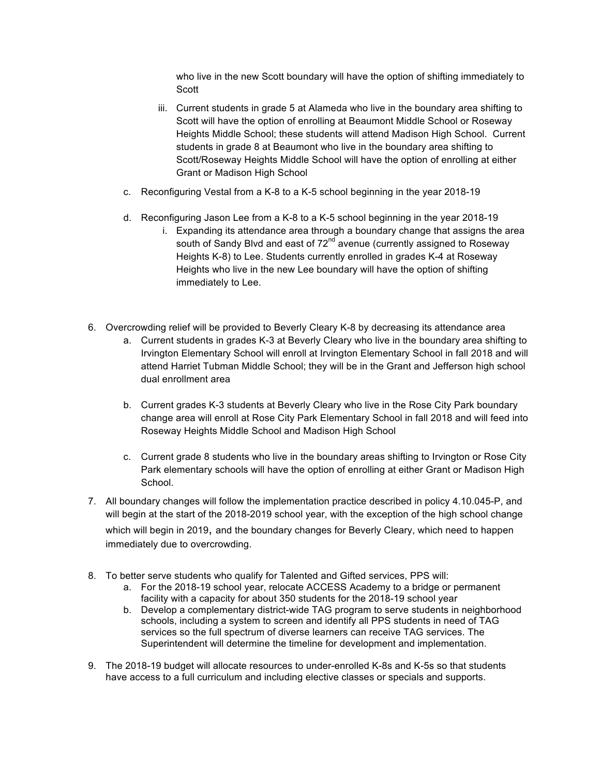who live in the new Scott boundary will have the option of shifting immediately to Scott

- iii. Current students in grade 5 at Alameda who live in the boundary area shifting to Scott will have the option of enrolling at Beaumont Middle School or Roseway Heights Middle School; these students will attend Madison High School. Current students in grade 8 at Beaumont who live in the boundary area shifting to Scott/Roseway Heights Middle School will have the option of enrolling at either Grant or Madison High School
- c. Reconfiguring Vestal from a K-8 to a K-5 school beginning in the year 2018-19
- d. Reconfiguring Jason Lee from a K-8 to a K-5 school beginning in the year 2018-19
	- i. Expanding its attendance area through a boundary change that assigns the area south of Sandy Blvd and east of 72<sup>nd</sup> avenue (currently assigned to Roseway Heights K-8) to Lee. Students currently enrolled in grades K-4 at Roseway Heights who live in the new Lee boundary will have the option of shifting immediately to Lee.
- 6. Overcrowding relief will be provided to Beverly Cleary K-8 by decreasing its attendance area
	- a. Current students in grades K-3 at Beverly Cleary who live in the boundary area shifting to Irvington Elementary School will enroll at Irvington Elementary School in fall 2018 and will attend Harriet Tubman Middle School; they will be in the Grant and Jefferson high school dual enrollment area
	- b. Current grades K-3 students at Beverly Cleary who live in the Rose City Park boundary change area will enroll at Rose City Park Elementary School in fall 2018 and will feed into Roseway Heights Middle School and Madison High School
	- c. Current grade 8 students who live in the boundary areas shifting to Irvington or Rose City Park elementary schools will have the option of enrolling at either Grant or Madison High School.
- 7. All boundary changes will follow the implementation practice described in policy 4.10.045-P, and will begin at the start of the 2018-2019 school year, with the exception of the high school change which will begin in 2019, and the boundary changes for Beverly Cleary, which need to happen immediately due to overcrowding.
- 8. To better serve students who qualify for Talented and Gifted services, PPS will:
	- a. For the 2018-19 school year, relocate ACCESS Academy to a bridge or permanent facility with a capacity for about 350 students for the 2018-19 school year
	- b. Develop a complementary district-wide TAG program to serve students in neighborhood schools, including a system to screen and identify all PPS students in need of TAG services so the full spectrum of diverse learners can receive TAG services. The Superintendent will determine the timeline for development and implementation.
- 9. The 2018-19 budget will allocate resources to under-enrolled K-8s and K-5s so that students have access to a full curriculum and including elective classes or specials and supports.